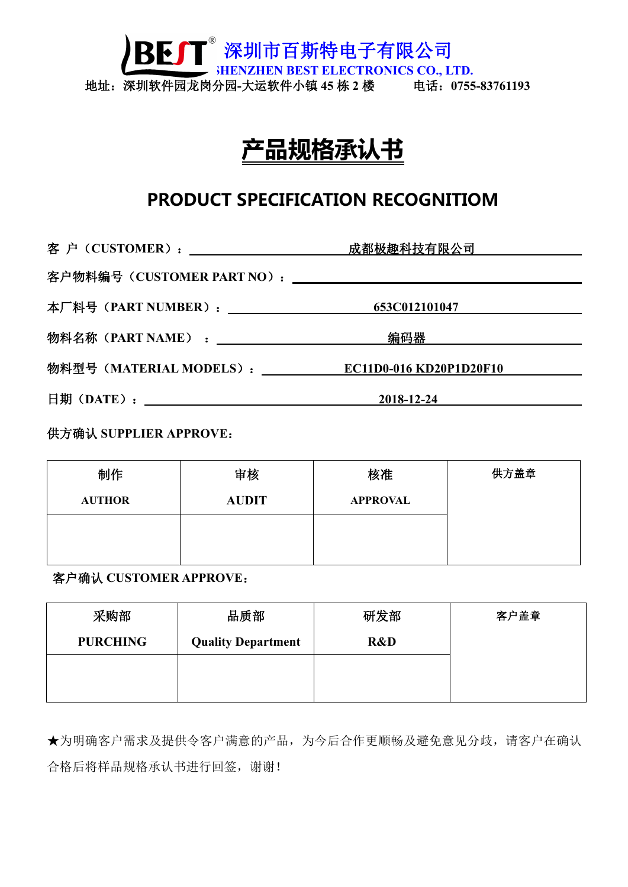深圳市百斯特电子有限公司 **SHENZHEN BEST ELECTRONICS CO., LTD.** 地址:深圳软件园龙岗分园**-**大运软件小镇 **45** 栋 **2** 楼 电话:**0755-83761193**

# **产品规格承认书**

## **PRODUCT SPECIFICATION RECOGNITIOM**

|                                                | 编码器  ________________________ |  |
|------------------------------------------------|-------------------------------|--|
| 物料型号(MATERIAL MODELS): CO11D0-016 KD20P1D20F10 |                               |  |
|                                                | $2018 - 12 - 24$              |  |

供方确认 **SUPPLIER APPROVE**:

| 制作            | 审核           | 核准              | 供方盖章 |
|---------------|--------------|-----------------|------|
| <b>AUTHOR</b> | <b>AUDIT</b> | <b>APPROVAL</b> |      |
|               |              |                 |      |
|               |              |                 |      |

客户确认 **CUSTOMER APPROVE**:

| 采购部             | 品质部                       | 研发部 | 客户盖章 |  |
|-----------------|---------------------------|-----|------|--|
| <b>PURCHING</b> | <b>Quality Department</b> | R&D |      |  |
|                 |                           |     |      |  |
|                 |                           |     |      |  |

★为明确客户需求及提供令客户满意的产品,为今后合作更顺畅及避免意见分歧,请客户在确认 合格后将样品规格承认书进行回签,谢谢!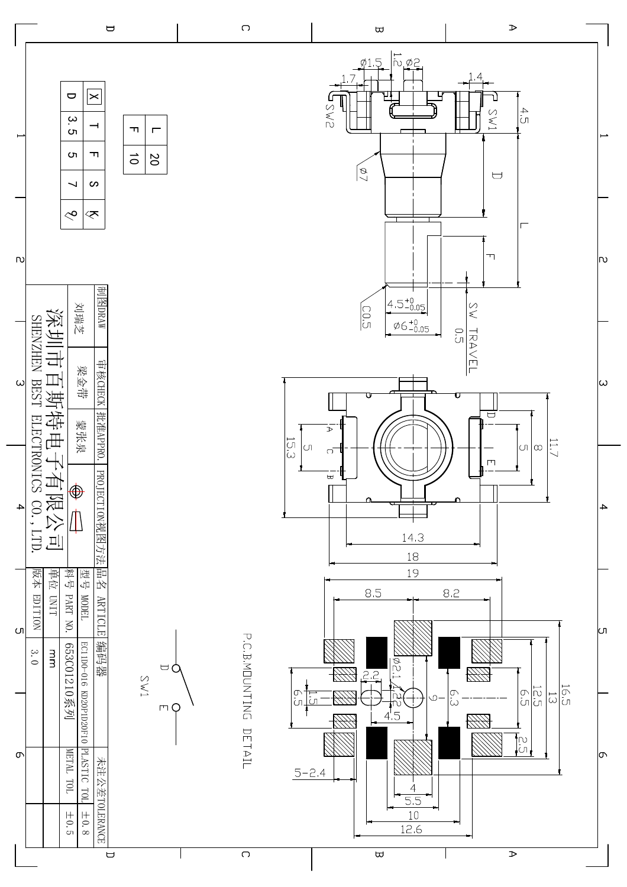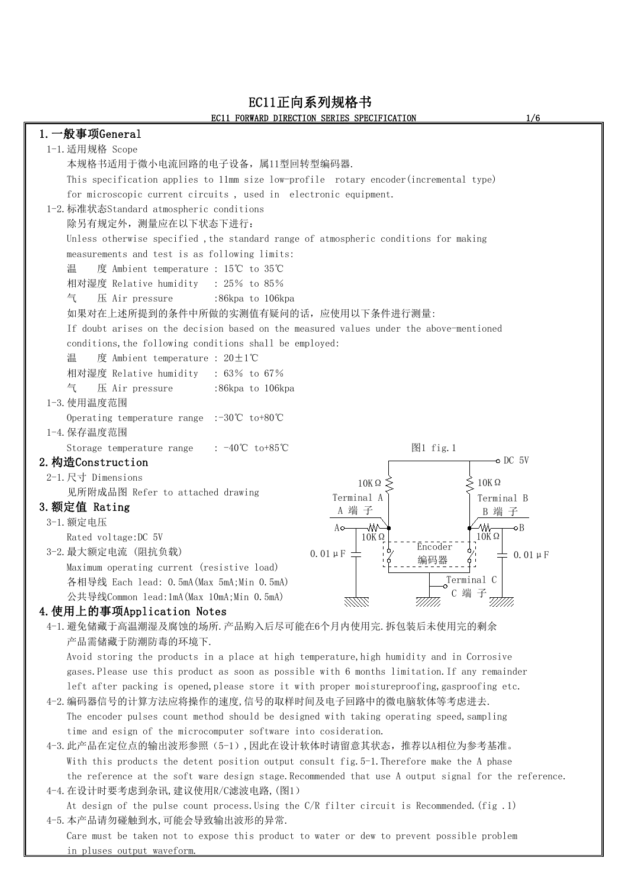## EC11正向系列规格书 EC11 FORWARD DIRECTION SERIES SPECIFICATION 1/6

| 1. 一般事项General                                                                                       |
|------------------------------------------------------------------------------------------------------|
| 1-1. 适用规格 Scope                                                                                      |
| 本规格书适用于微小电流回路的电子设备, 属11型回转型编码器.                                                                      |
| This specification applies to 11mm size low-profile rotary encoder (incremental type)                |
| for microscopic current circuits, used in electronic equipment.                                      |
| 1-2. 标准状态Standard atmospheric conditions                                                             |
| 除另有规定外, 测量应在以下状态下进行:                                                                                 |
|                                                                                                      |
| Unless otherwise specified, the standard range of atmospheric conditions for making                  |
| measurements and test is as following limits:                                                        |
| 温 度 Ambient temperature : 15℃ to 35℃                                                                 |
| 相对湿度 Relative humidity : 25% to 85%                                                                  |
| 压 Air pressure<br>:86kpa to 106kpa<br>气                                                              |
| 如果对在上述所提到的条件中所做的实测值有疑问的话,应使用以下条件进行测量:                                                                |
| If doubt arises on the decision based on the measured values under the above-mentioned               |
| conditions, the following conditions shall be employed:                                              |
| 温   度 Ambient temperature : $20±1°C$                                                                 |
| 相对湿度 Relative humidity : 63% to 67%                                                                  |
| 气 压 Air pressure<br>:86kpa to 106kpa                                                                 |
| 1-3. 使用温度范围                                                                                          |
| Operating temperature range :-30°C to+80°C                                                           |
| 1-4. 保存温度范围                                                                                          |
| 图1 fig. 1<br>Storage temperature range : $-40^{\circ}\text{C}$ to +85 $^{\circ}\text{C}$             |
| $\sim$ DC 5V<br>2. 构造Construction                                                                    |
| 2-1.尺寸 Dimensions<br>$10K\Omega$ :<br>$\cdot$ 10K $\Omega$                                           |
| 见所附成品图 Refer to attached drawing<br>Terminal A<br>Terminal B                                         |
| 3. 额定值 Rating<br>A 端子<br>B 端子                                                                        |
| 3-1. 额定电压<br>$A \circ \rightarrow \mathbb{W}$<br><del>´</del> ⁄W——∽E                                 |
| $10K\Omega$<br>$10K \Omega$<br>Rated voltage: DC 5V<br>アライト コート・コート                                  |
| Encoder<br>3-2. 最大额定电流 (阻抗负载)<br>$0.01 \mu F =$<br>$\pm$ 0.01 µ F                                    |
| Maximum operating current (resistive load)                                                           |
| Terminal C<br>各相导线 Each lead: O.5mA(Max 5mA;Min O.5mA)                                               |
| C 端子<br>公共导线Common lead:1mA(Max 10mA;Min 0.5mA)                                                      |
| 4. 使用上的事项Application Notes                                                                           |
| 4-1. 避免储藏于高温潮湿及腐蚀的场所. 产品购入后尽可能在6个月内使用完. 拆包装后未使用完的剩余                                                  |
| 产品需储藏于防潮防毒的环境下.                                                                                      |
| Avoid storing the products in a place at high temperature, high humidity and in Corrosive            |
| gases. Please use this product as soon as possible with 6 months limitation. If any remainder        |
| left after packing is opened, please store it with proper moistureproofing, gasproofing etc.         |
| 4-2. 编码器信号的计算方法应将操作的速度, 信号的取样时间及电子回路中的微电脑软体等考虑进去.                                                    |
| The encoder pulses count method should be designed with taking operating speed, sampling             |
|                                                                                                      |
| time and esign of the microcomputer software into cosideration.                                      |
| 4-3. 此产品在定位点的输出波形参照(5-1), 因此在设计软体时请留意其状态, 推荐以A相位为参考基准。                                               |
| With this products the detent position output consult fig. 5-1. Therefore make the A phase           |
| the reference at the soft ware design stage. Recommended that use A output signal for the reference. |
| 4-4. 在设计时要考虑到杂讯, 建议使用R/C滤波电路, (图1)                                                                   |
| At design of the pulse count process. Using the $C/R$ filter circuit is Recommended. (fig. 1)        |
| 4-5. 本产品请勿碰触到水, 可能会导致输出波形的异常.                                                                        |
| Care must be taken not to expose this product to water or dew to prevent possible problem            |
| in pluses output waveform.                                                                           |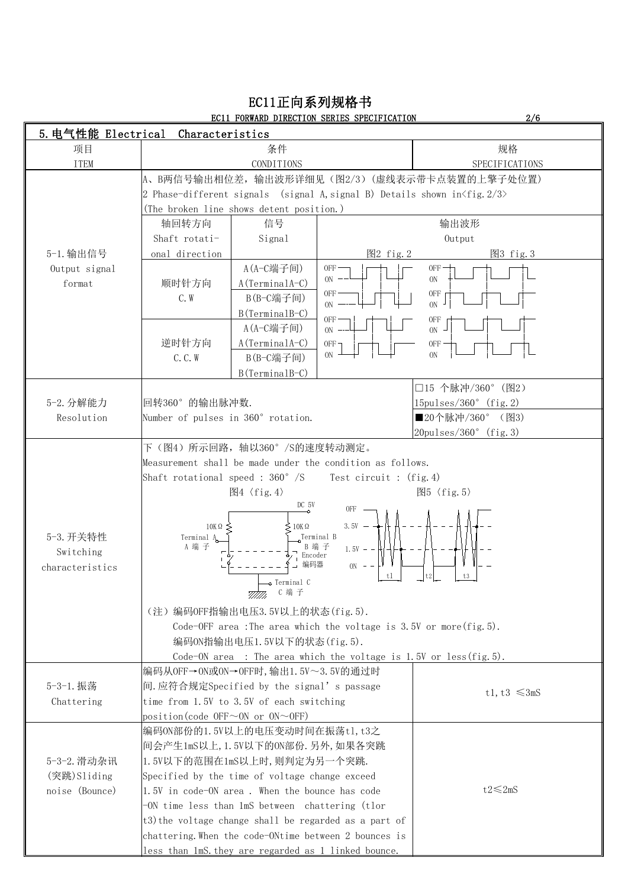|                         | 5. 电气性能 Electrical Characteristics                  |                                                                                      |                                                              |
|-------------------------|-----------------------------------------------------|--------------------------------------------------------------------------------------|--------------------------------------------------------------|
| 项目                      |                                                     | 条件                                                                                   | 规格                                                           |
| <b>ITEM</b>             |                                                     | CONDITIONS                                                                           | SPECIFICATIONS                                               |
|                         |                                                     | A、B两信号输出相位差, 输出波形详细见(图2/3)(虚线表示带卡点装置的上擎子处位置)                                         |                                                              |
|                         |                                                     | 2 Phase-different signals (signal A, signal B) Details shown in $\frac{f}{g}$ . 2/3> |                                                              |
|                         | (The broken line shows detent position.)            |                                                                                      |                                                              |
|                         | 轴回转方向                                               | 信号                                                                                   | 输出波形                                                         |
|                         | Shaft rotati-                                       | Signal                                                                               | Output                                                       |
| 5-1. 输出信号               | onal direction                                      | 图2 fig. 2                                                                            | 图3 fig. 3                                                    |
| Output signal           |                                                     | A(A-C端子间)<br>$OFF$ —<br>$ON$ $--$                                                    | $OFF \rightarrow$<br>ON                                      |
| format                  | 顺时针方向                                               | A(TerminalA-C)<br>$OFF$ —                                                            | 0FF                                                          |
|                         | C. W                                                | B(B-C端子间)<br>$ON -$                                                                  | ON                                                           |
|                         |                                                     | B(TerminalB-C)<br>$OFF$ —                                                            |                                                              |
|                         |                                                     | A(A-C端子间)<br>$ON$ -                                                                  | ON                                                           |
|                         | 逆时针方向                                               | $A(TerminalA-C)$<br>$OFF -$<br>ON                                                    | ON                                                           |
|                         | C. C. W                                             | B(B-C端子间)                                                                            |                                                              |
|                         |                                                     | B(TerminalB-C)                                                                       |                                                              |
|                         | 回转360°的输出脉冲数.                                       |                                                                                      | □15 个脉冲/360° (图2)                                            |
| 5-2. 分解能力<br>Resolution | Number of pulses in 360° rotation.                  |                                                                                      | $15 \text{pulses}/360^{\circ}$ (fig. 2)<br> ■20个脉冲/360° (图3) |
|                         |                                                     |                                                                                      | $ 20pulses/360^{\circ}$ (fig. 3)                             |
|                         | 下(图4) 所示回路, 轴以360°/S的速度转动测定。                        |                                                                                      |                                                              |
|                         |                                                     | Measurement shall be made under the condition as follows.                            |                                                              |
|                         |                                                     | Shaft rotational speed : $360^{\circ}$ /S Test circuit : (fig. 4)                    |                                                              |
|                         | 图4 〈fig. 4〉                                         |                                                                                      | 图5 〈fig. 5〉                                                  |
|                         |                                                     | DC 5V<br>0FF                                                                         |                                                              |
|                         | $10K\Omega$                                         | $3.5V - -$<br>$10K\Omega$                                                            |                                                              |
| 5-3. 开关特性               | Terminal A                                          | Terminal B                                                                           |                                                              |
| Switching               | A 端子                                                | B 端 子<br>$1.5V - -$<br>Encoder                                                       |                                                              |
| characteristics         |                                                     | 编码器<br>$ON - -$                                                                      |                                                              |
|                         |                                                     | ~t1<br>-o Terminal C                                                                 | t3                                                           |
|                         |                                                     | <i>7777777,</i> C 端 子                                                                |                                                              |
|                         | (注) 编码OFF指输出电压3.5V以上的状态(fig.5).                     |                                                                                      |                                                              |
|                         |                                                     | Code-OFF area : The area which the voltage is $3.5V$ or more (fig. 5).               |                                                              |
|                         | 编码ON指输出电压1.5V以下的状态(fig.5).                          |                                                                                      |                                                              |
|                         |                                                     | Code-ON area : The area which the voltage is $1.5V$ or less (fig. 5).                |                                                              |
|                         | 编码从OFF→ON或ON→OFF时, 输出1.5V~3.5V的通过时                  |                                                                                      |                                                              |
| 5-3-1. 振荡               | 间.应符合规定Specified by the signal's passage            |                                                                                      | t1, t3 $\leq$ 3mS                                            |
| Chattering              | time from 1.5V to 3.5V of each switching            |                                                                                      |                                                              |
|                         | $ position(code$ OFF $\sim$ ON or ON $\sim$ OFF)    |                                                                                      |                                                              |
|                         | 编码0N部份的1.5V以上的电压变动时间在振荡t1,t3之                       |                                                                                      |                                                              |
|                         | 间会产生1mS以上, 1.5V以下的ON部份. 另外, 如果各突跳                   |                                                                                      |                                                              |
| 5-3-2. 滑动杂讯             | 1.5V以下的范围在1mS以上时, 则判定为另一个突跳.                        |                                                                                      |                                                              |
| (突跳)Sliding             | Specified by the time of voltage change exceed      |                                                                                      |                                                              |
| noise (Bounce)          | $ 1.5V $ in code-ON area. When the bounce has code  |                                                                                      | $t2<\leq 2mS$                                                |
|                         | -ON time less than 1mS between chattering (tlor     |                                                                                      |                                                              |
|                         |                                                     | $(t3)$ the voltage change shall be regarded as a part of                             |                                                              |
|                         |                                                     | chattering. When the code-ONtime between 2 bounces is                                |                                                              |
|                         | less than 1mS they are regarded as 1 linked bounce. |                                                                                      |                                                              |

### EC11正向系列规格书 EC11 FORWARD DIRECTION SERIES SPECIFICATION 2/6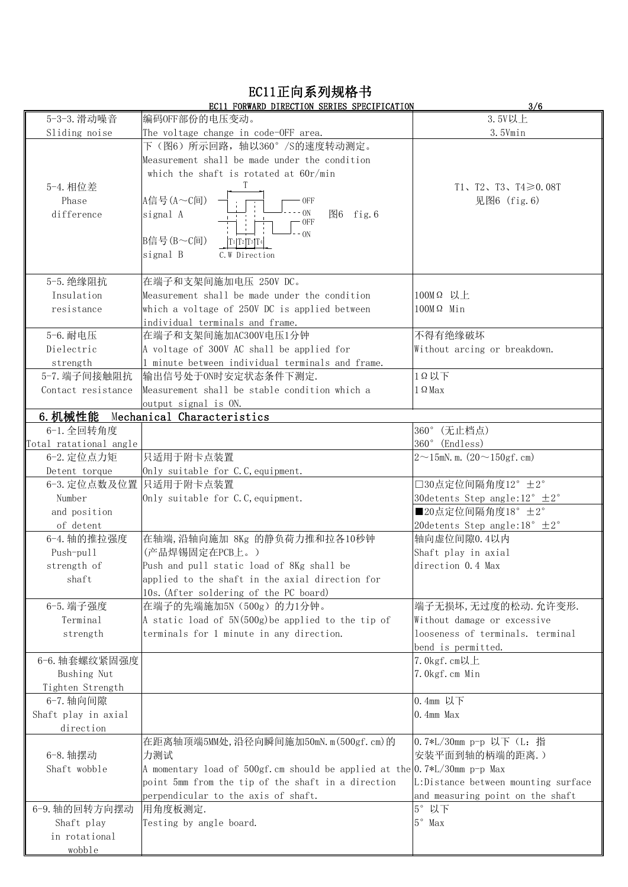## EC11正向系列规格书

| 3.5V以上<br>5-3-3. 滑动噪音<br> 编码OFF部份的电压变动。<br>Sliding noise<br>3.5Vmin<br>The voltage change in code-OFF area.<br>下 (图6) 所示回路,轴以360°/S的速度转动测定。<br>Measurement shall be made under the condition<br>which the shaft is rotated at $60r/min$<br>5-4. 相位差<br>T1、T2、T3、T4≥0.08T<br>A信号(A~C间)<br>见图6 (fig. 6)<br>Phase<br>0FF<br>ON<br>图6 fig. 6<br>difference<br>signal A<br>0FF<br>ON<br>B信号(B~C间)<br>$T1 T2 T3 T4 $<br>signal B<br>C. W Direction<br>在端子和支架间施加电压 250V DC。<br>5-5. 绝缘阻抗<br>100MΩ 以上<br>Insulation<br>Measurement shall be made under the condition<br>which a voltage of 250V DC is applied between<br>$100M\Omega$ Min<br>resistance<br>individual terminals and frame.<br>5-6. 耐电压<br>不得有绝缘破坏<br>在端子和支架间施加AC300V电压1分钟<br>Dielectric<br>A voltage of 300V AC shall be applied for<br>Without arcing or breakdown.<br>minute between individual terminals and frame.<br>strength<br>1Q以下<br>5-7. 端子间接触阻抗<br> 输出信号处于ON时安定状态条件下测定.<br>Measurement shall be stable condition which a<br>$1 \Omega$ Max<br>Contact resistance<br>output signal is ON.<br>6. 机械性能<br>Mechanical Characteristics<br>360° (无止档点)<br>6-1. 全回转角度<br>360° (Endless)<br>Total ratational angle<br>只适用于附卡点装置<br>6-2. 定位点力矩<br>$2 \sim 15$ mN. m. $(20 \sim 150$ gf. cm)<br>Detent torque<br>Only suitable for C.C, equipment.<br>□30点定位间隔角度12° ±2°<br>6-3. 定位点数及位置 只适用于附卡点装置<br>Number<br>30 detents Step angle: $12^{\circ} \pm 2^{\circ}$<br>Only suitable for C.C, equipment.<br>■20点定位间隔角度18°±2°<br>and position<br>20 detents Step angle: $18^\circ \pm 2^\circ$<br>of detent<br>6-4. 轴的推拉强度<br>在轴端, 沿轴向施加 8Kg 的静负荷力推和拉各10秒钟<br>轴向虚位间隙0.4以内<br>(产品焊锡固定在PCB上。)<br>Shaft play in axial<br>Push-pull<br>direction 0.4 Max<br>strength of<br>Push and pull static load of 8Kg shall be<br>shaft<br>applied to the shaft in the axial direction for<br>10s. (After soldering of the PC board)<br>6-5. 端子强度<br>在端子的先端施加5N (500g) 的力1分钟。<br>端子无损坏,无过度的松动. 允许变形.<br>A static load of 5N(500g) be applied to the tip of<br>Terminal<br>Without damage or excessive<br>looseness of terminals. terminal<br>strength<br>terminals for 1 minute in any direction.<br>bend is permitted.<br>6-6. 轴套螺纹紧固强度<br>$7.0$ kgf.cm以上<br>Bushing Nut<br>7.0kgf.cm Min<br>Tighten Strength<br>6-7. 轴向间隙<br>0.4mm 以下<br>$0.4$ mm Max<br>Shaft play in axial<br>direction<br>在距离轴顶端5MM处, 沿径向瞬间施加50mN.m(500gf.cm)的<br> 0.7*L/30mm p−p 以下 (L: 指<br>6-8. 轴摆动<br>力测试<br> 安装平面到轴的柄端的距离.)<br>A momentary load of 500gf.cm should be applied at the $0.7*L/30$ mm p-p Max<br>Shaft wobble<br>point 5mm from the tip of the shaft in a direction<br>L:Distance between mounting surface<br>perpendicular to the axis of shaft.<br>and measuring point on the shaft<br>5° 以下<br>6-9. 轴的回转方向摆动<br> 用角度板测定.<br>$5^\circ$ Max<br>Shaft play<br>Testing by angle board.<br>in rotational<br>wobble | EC11 FORWARD DIRECTION SERIES SPECIFICATION | 3/6 |
|------------------------------------------------------------------------------------------------------------------------------------------------------------------------------------------------------------------------------------------------------------------------------------------------------------------------------------------------------------------------------------------------------------------------------------------------------------------------------------------------------------------------------------------------------------------------------------------------------------------------------------------------------------------------------------------------------------------------------------------------------------------------------------------------------------------------------------------------------------------------------------------------------------------------------------------------------------------------------------------------------------------------------------------------------------------------------------------------------------------------------------------------------------------------------------------------------------------------------------------------------------------------------------------------------------------------------------------------------------------------------------------------------------------------------------------------------------------------------------------------------------------------------------------------------------------------------------------------------------------------------------------------------------------------------------------------------------------------------------------------------------------------------------------------------------------------------------------------------------------------------------------------------------------------------------------------------------------------------------------------------------------------------------------------------------------------------------------------------------------------------------------------------------------------------------------------------------------------------------------------------------------------------------------------------------------------------------------------------------------------------------------------------------------------------------------------------------------------------------------------------------------------------------------------------------------------------------------------------------------------------------------------------------------------------------------------------------------------------------------------------------------------------------------------------------------------------------------------|---------------------------------------------|-----|
|                                                                                                                                                                                                                                                                                                                                                                                                                                                                                                                                                                                                                                                                                                                                                                                                                                                                                                                                                                                                                                                                                                                                                                                                                                                                                                                                                                                                                                                                                                                                                                                                                                                                                                                                                                                                                                                                                                                                                                                                                                                                                                                                                                                                                                                                                                                                                                                                                                                                                                                                                                                                                                                                                                                                                                                                                                                |                                             |     |
|                                                                                                                                                                                                                                                                                                                                                                                                                                                                                                                                                                                                                                                                                                                                                                                                                                                                                                                                                                                                                                                                                                                                                                                                                                                                                                                                                                                                                                                                                                                                                                                                                                                                                                                                                                                                                                                                                                                                                                                                                                                                                                                                                                                                                                                                                                                                                                                                                                                                                                                                                                                                                                                                                                                                                                                                                                                |                                             |     |
|                                                                                                                                                                                                                                                                                                                                                                                                                                                                                                                                                                                                                                                                                                                                                                                                                                                                                                                                                                                                                                                                                                                                                                                                                                                                                                                                                                                                                                                                                                                                                                                                                                                                                                                                                                                                                                                                                                                                                                                                                                                                                                                                                                                                                                                                                                                                                                                                                                                                                                                                                                                                                                                                                                                                                                                                                                                |                                             |     |
|                                                                                                                                                                                                                                                                                                                                                                                                                                                                                                                                                                                                                                                                                                                                                                                                                                                                                                                                                                                                                                                                                                                                                                                                                                                                                                                                                                                                                                                                                                                                                                                                                                                                                                                                                                                                                                                                                                                                                                                                                                                                                                                                                                                                                                                                                                                                                                                                                                                                                                                                                                                                                                                                                                                                                                                                                                                |                                             |     |
|                                                                                                                                                                                                                                                                                                                                                                                                                                                                                                                                                                                                                                                                                                                                                                                                                                                                                                                                                                                                                                                                                                                                                                                                                                                                                                                                                                                                                                                                                                                                                                                                                                                                                                                                                                                                                                                                                                                                                                                                                                                                                                                                                                                                                                                                                                                                                                                                                                                                                                                                                                                                                                                                                                                                                                                                                                                |                                             |     |
|                                                                                                                                                                                                                                                                                                                                                                                                                                                                                                                                                                                                                                                                                                                                                                                                                                                                                                                                                                                                                                                                                                                                                                                                                                                                                                                                                                                                                                                                                                                                                                                                                                                                                                                                                                                                                                                                                                                                                                                                                                                                                                                                                                                                                                                                                                                                                                                                                                                                                                                                                                                                                                                                                                                                                                                                                                                |                                             |     |
|                                                                                                                                                                                                                                                                                                                                                                                                                                                                                                                                                                                                                                                                                                                                                                                                                                                                                                                                                                                                                                                                                                                                                                                                                                                                                                                                                                                                                                                                                                                                                                                                                                                                                                                                                                                                                                                                                                                                                                                                                                                                                                                                                                                                                                                                                                                                                                                                                                                                                                                                                                                                                                                                                                                                                                                                                                                |                                             |     |
|                                                                                                                                                                                                                                                                                                                                                                                                                                                                                                                                                                                                                                                                                                                                                                                                                                                                                                                                                                                                                                                                                                                                                                                                                                                                                                                                                                                                                                                                                                                                                                                                                                                                                                                                                                                                                                                                                                                                                                                                                                                                                                                                                                                                                                                                                                                                                                                                                                                                                                                                                                                                                                                                                                                                                                                                                                                |                                             |     |
|                                                                                                                                                                                                                                                                                                                                                                                                                                                                                                                                                                                                                                                                                                                                                                                                                                                                                                                                                                                                                                                                                                                                                                                                                                                                                                                                                                                                                                                                                                                                                                                                                                                                                                                                                                                                                                                                                                                                                                                                                                                                                                                                                                                                                                                                                                                                                                                                                                                                                                                                                                                                                                                                                                                                                                                                                                                |                                             |     |
|                                                                                                                                                                                                                                                                                                                                                                                                                                                                                                                                                                                                                                                                                                                                                                                                                                                                                                                                                                                                                                                                                                                                                                                                                                                                                                                                                                                                                                                                                                                                                                                                                                                                                                                                                                                                                                                                                                                                                                                                                                                                                                                                                                                                                                                                                                                                                                                                                                                                                                                                                                                                                                                                                                                                                                                                                                                |                                             |     |
|                                                                                                                                                                                                                                                                                                                                                                                                                                                                                                                                                                                                                                                                                                                                                                                                                                                                                                                                                                                                                                                                                                                                                                                                                                                                                                                                                                                                                                                                                                                                                                                                                                                                                                                                                                                                                                                                                                                                                                                                                                                                                                                                                                                                                                                                                                                                                                                                                                                                                                                                                                                                                                                                                                                                                                                                                                                |                                             |     |
|                                                                                                                                                                                                                                                                                                                                                                                                                                                                                                                                                                                                                                                                                                                                                                                                                                                                                                                                                                                                                                                                                                                                                                                                                                                                                                                                                                                                                                                                                                                                                                                                                                                                                                                                                                                                                                                                                                                                                                                                                                                                                                                                                                                                                                                                                                                                                                                                                                                                                                                                                                                                                                                                                                                                                                                                                                                |                                             |     |
|                                                                                                                                                                                                                                                                                                                                                                                                                                                                                                                                                                                                                                                                                                                                                                                                                                                                                                                                                                                                                                                                                                                                                                                                                                                                                                                                                                                                                                                                                                                                                                                                                                                                                                                                                                                                                                                                                                                                                                                                                                                                                                                                                                                                                                                                                                                                                                                                                                                                                                                                                                                                                                                                                                                                                                                                                                                |                                             |     |
|                                                                                                                                                                                                                                                                                                                                                                                                                                                                                                                                                                                                                                                                                                                                                                                                                                                                                                                                                                                                                                                                                                                                                                                                                                                                                                                                                                                                                                                                                                                                                                                                                                                                                                                                                                                                                                                                                                                                                                                                                                                                                                                                                                                                                                                                                                                                                                                                                                                                                                                                                                                                                                                                                                                                                                                                                                                |                                             |     |
|                                                                                                                                                                                                                                                                                                                                                                                                                                                                                                                                                                                                                                                                                                                                                                                                                                                                                                                                                                                                                                                                                                                                                                                                                                                                                                                                                                                                                                                                                                                                                                                                                                                                                                                                                                                                                                                                                                                                                                                                                                                                                                                                                                                                                                                                                                                                                                                                                                                                                                                                                                                                                                                                                                                                                                                                                                                |                                             |     |
|                                                                                                                                                                                                                                                                                                                                                                                                                                                                                                                                                                                                                                                                                                                                                                                                                                                                                                                                                                                                                                                                                                                                                                                                                                                                                                                                                                                                                                                                                                                                                                                                                                                                                                                                                                                                                                                                                                                                                                                                                                                                                                                                                                                                                                                                                                                                                                                                                                                                                                                                                                                                                                                                                                                                                                                                                                                |                                             |     |
|                                                                                                                                                                                                                                                                                                                                                                                                                                                                                                                                                                                                                                                                                                                                                                                                                                                                                                                                                                                                                                                                                                                                                                                                                                                                                                                                                                                                                                                                                                                                                                                                                                                                                                                                                                                                                                                                                                                                                                                                                                                                                                                                                                                                                                                                                                                                                                                                                                                                                                                                                                                                                                                                                                                                                                                                                                                |                                             |     |
|                                                                                                                                                                                                                                                                                                                                                                                                                                                                                                                                                                                                                                                                                                                                                                                                                                                                                                                                                                                                                                                                                                                                                                                                                                                                                                                                                                                                                                                                                                                                                                                                                                                                                                                                                                                                                                                                                                                                                                                                                                                                                                                                                                                                                                                                                                                                                                                                                                                                                                                                                                                                                                                                                                                                                                                                                                                |                                             |     |
|                                                                                                                                                                                                                                                                                                                                                                                                                                                                                                                                                                                                                                                                                                                                                                                                                                                                                                                                                                                                                                                                                                                                                                                                                                                                                                                                                                                                                                                                                                                                                                                                                                                                                                                                                                                                                                                                                                                                                                                                                                                                                                                                                                                                                                                                                                                                                                                                                                                                                                                                                                                                                                                                                                                                                                                                                                                |                                             |     |
|                                                                                                                                                                                                                                                                                                                                                                                                                                                                                                                                                                                                                                                                                                                                                                                                                                                                                                                                                                                                                                                                                                                                                                                                                                                                                                                                                                                                                                                                                                                                                                                                                                                                                                                                                                                                                                                                                                                                                                                                                                                                                                                                                                                                                                                                                                                                                                                                                                                                                                                                                                                                                                                                                                                                                                                                                                                |                                             |     |
|                                                                                                                                                                                                                                                                                                                                                                                                                                                                                                                                                                                                                                                                                                                                                                                                                                                                                                                                                                                                                                                                                                                                                                                                                                                                                                                                                                                                                                                                                                                                                                                                                                                                                                                                                                                                                                                                                                                                                                                                                                                                                                                                                                                                                                                                                                                                                                                                                                                                                                                                                                                                                                                                                                                                                                                                                                                |                                             |     |
|                                                                                                                                                                                                                                                                                                                                                                                                                                                                                                                                                                                                                                                                                                                                                                                                                                                                                                                                                                                                                                                                                                                                                                                                                                                                                                                                                                                                                                                                                                                                                                                                                                                                                                                                                                                                                                                                                                                                                                                                                                                                                                                                                                                                                                                                                                                                                                                                                                                                                                                                                                                                                                                                                                                                                                                                                                                |                                             |     |
|                                                                                                                                                                                                                                                                                                                                                                                                                                                                                                                                                                                                                                                                                                                                                                                                                                                                                                                                                                                                                                                                                                                                                                                                                                                                                                                                                                                                                                                                                                                                                                                                                                                                                                                                                                                                                                                                                                                                                                                                                                                                                                                                                                                                                                                                                                                                                                                                                                                                                                                                                                                                                                                                                                                                                                                                                                                |                                             |     |
|                                                                                                                                                                                                                                                                                                                                                                                                                                                                                                                                                                                                                                                                                                                                                                                                                                                                                                                                                                                                                                                                                                                                                                                                                                                                                                                                                                                                                                                                                                                                                                                                                                                                                                                                                                                                                                                                                                                                                                                                                                                                                                                                                                                                                                                                                                                                                                                                                                                                                                                                                                                                                                                                                                                                                                                                                                                |                                             |     |
|                                                                                                                                                                                                                                                                                                                                                                                                                                                                                                                                                                                                                                                                                                                                                                                                                                                                                                                                                                                                                                                                                                                                                                                                                                                                                                                                                                                                                                                                                                                                                                                                                                                                                                                                                                                                                                                                                                                                                                                                                                                                                                                                                                                                                                                                                                                                                                                                                                                                                                                                                                                                                                                                                                                                                                                                                                                |                                             |     |
|                                                                                                                                                                                                                                                                                                                                                                                                                                                                                                                                                                                                                                                                                                                                                                                                                                                                                                                                                                                                                                                                                                                                                                                                                                                                                                                                                                                                                                                                                                                                                                                                                                                                                                                                                                                                                                                                                                                                                                                                                                                                                                                                                                                                                                                                                                                                                                                                                                                                                                                                                                                                                                                                                                                                                                                                                                                |                                             |     |
|                                                                                                                                                                                                                                                                                                                                                                                                                                                                                                                                                                                                                                                                                                                                                                                                                                                                                                                                                                                                                                                                                                                                                                                                                                                                                                                                                                                                                                                                                                                                                                                                                                                                                                                                                                                                                                                                                                                                                                                                                                                                                                                                                                                                                                                                                                                                                                                                                                                                                                                                                                                                                                                                                                                                                                                                                                                |                                             |     |
|                                                                                                                                                                                                                                                                                                                                                                                                                                                                                                                                                                                                                                                                                                                                                                                                                                                                                                                                                                                                                                                                                                                                                                                                                                                                                                                                                                                                                                                                                                                                                                                                                                                                                                                                                                                                                                                                                                                                                                                                                                                                                                                                                                                                                                                                                                                                                                                                                                                                                                                                                                                                                                                                                                                                                                                                                                                |                                             |     |
|                                                                                                                                                                                                                                                                                                                                                                                                                                                                                                                                                                                                                                                                                                                                                                                                                                                                                                                                                                                                                                                                                                                                                                                                                                                                                                                                                                                                                                                                                                                                                                                                                                                                                                                                                                                                                                                                                                                                                                                                                                                                                                                                                                                                                                                                                                                                                                                                                                                                                                                                                                                                                                                                                                                                                                                                                                                |                                             |     |
|                                                                                                                                                                                                                                                                                                                                                                                                                                                                                                                                                                                                                                                                                                                                                                                                                                                                                                                                                                                                                                                                                                                                                                                                                                                                                                                                                                                                                                                                                                                                                                                                                                                                                                                                                                                                                                                                                                                                                                                                                                                                                                                                                                                                                                                                                                                                                                                                                                                                                                                                                                                                                                                                                                                                                                                                                                                |                                             |     |
|                                                                                                                                                                                                                                                                                                                                                                                                                                                                                                                                                                                                                                                                                                                                                                                                                                                                                                                                                                                                                                                                                                                                                                                                                                                                                                                                                                                                                                                                                                                                                                                                                                                                                                                                                                                                                                                                                                                                                                                                                                                                                                                                                                                                                                                                                                                                                                                                                                                                                                                                                                                                                                                                                                                                                                                                                                                |                                             |     |
|                                                                                                                                                                                                                                                                                                                                                                                                                                                                                                                                                                                                                                                                                                                                                                                                                                                                                                                                                                                                                                                                                                                                                                                                                                                                                                                                                                                                                                                                                                                                                                                                                                                                                                                                                                                                                                                                                                                                                                                                                                                                                                                                                                                                                                                                                                                                                                                                                                                                                                                                                                                                                                                                                                                                                                                                                                                |                                             |     |
|                                                                                                                                                                                                                                                                                                                                                                                                                                                                                                                                                                                                                                                                                                                                                                                                                                                                                                                                                                                                                                                                                                                                                                                                                                                                                                                                                                                                                                                                                                                                                                                                                                                                                                                                                                                                                                                                                                                                                                                                                                                                                                                                                                                                                                                                                                                                                                                                                                                                                                                                                                                                                                                                                                                                                                                                                                                |                                             |     |
|                                                                                                                                                                                                                                                                                                                                                                                                                                                                                                                                                                                                                                                                                                                                                                                                                                                                                                                                                                                                                                                                                                                                                                                                                                                                                                                                                                                                                                                                                                                                                                                                                                                                                                                                                                                                                                                                                                                                                                                                                                                                                                                                                                                                                                                                                                                                                                                                                                                                                                                                                                                                                                                                                                                                                                                                                                                |                                             |     |
|                                                                                                                                                                                                                                                                                                                                                                                                                                                                                                                                                                                                                                                                                                                                                                                                                                                                                                                                                                                                                                                                                                                                                                                                                                                                                                                                                                                                                                                                                                                                                                                                                                                                                                                                                                                                                                                                                                                                                                                                                                                                                                                                                                                                                                                                                                                                                                                                                                                                                                                                                                                                                                                                                                                                                                                                                                                |                                             |     |
|                                                                                                                                                                                                                                                                                                                                                                                                                                                                                                                                                                                                                                                                                                                                                                                                                                                                                                                                                                                                                                                                                                                                                                                                                                                                                                                                                                                                                                                                                                                                                                                                                                                                                                                                                                                                                                                                                                                                                                                                                                                                                                                                                                                                                                                                                                                                                                                                                                                                                                                                                                                                                                                                                                                                                                                                                                                |                                             |     |
|                                                                                                                                                                                                                                                                                                                                                                                                                                                                                                                                                                                                                                                                                                                                                                                                                                                                                                                                                                                                                                                                                                                                                                                                                                                                                                                                                                                                                                                                                                                                                                                                                                                                                                                                                                                                                                                                                                                                                                                                                                                                                                                                                                                                                                                                                                                                                                                                                                                                                                                                                                                                                                                                                                                                                                                                                                                |                                             |     |
|                                                                                                                                                                                                                                                                                                                                                                                                                                                                                                                                                                                                                                                                                                                                                                                                                                                                                                                                                                                                                                                                                                                                                                                                                                                                                                                                                                                                                                                                                                                                                                                                                                                                                                                                                                                                                                                                                                                                                                                                                                                                                                                                                                                                                                                                                                                                                                                                                                                                                                                                                                                                                                                                                                                                                                                                                                                |                                             |     |
|                                                                                                                                                                                                                                                                                                                                                                                                                                                                                                                                                                                                                                                                                                                                                                                                                                                                                                                                                                                                                                                                                                                                                                                                                                                                                                                                                                                                                                                                                                                                                                                                                                                                                                                                                                                                                                                                                                                                                                                                                                                                                                                                                                                                                                                                                                                                                                                                                                                                                                                                                                                                                                                                                                                                                                                                                                                |                                             |     |
|                                                                                                                                                                                                                                                                                                                                                                                                                                                                                                                                                                                                                                                                                                                                                                                                                                                                                                                                                                                                                                                                                                                                                                                                                                                                                                                                                                                                                                                                                                                                                                                                                                                                                                                                                                                                                                                                                                                                                                                                                                                                                                                                                                                                                                                                                                                                                                                                                                                                                                                                                                                                                                                                                                                                                                                                                                                |                                             |     |
|                                                                                                                                                                                                                                                                                                                                                                                                                                                                                                                                                                                                                                                                                                                                                                                                                                                                                                                                                                                                                                                                                                                                                                                                                                                                                                                                                                                                                                                                                                                                                                                                                                                                                                                                                                                                                                                                                                                                                                                                                                                                                                                                                                                                                                                                                                                                                                                                                                                                                                                                                                                                                                                                                                                                                                                                                                                |                                             |     |
|                                                                                                                                                                                                                                                                                                                                                                                                                                                                                                                                                                                                                                                                                                                                                                                                                                                                                                                                                                                                                                                                                                                                                                                                                                                                                                                                                                                                                                                                                                                                                                                                                                                                                                                                                                                                                                                                                                                                                                                                                                                                                                                                                                                                                                                                                                                                                                                                                                                                                                                                                                                                                                                                                                                                                                                                                                                |                                             |     |
|                                                                                                                                                                                                                                                                                                                                                                                                                                                                                                                                                                                                                                                                                                                                                                                                                                                                                                                                                                                                                                                                                                                                                                                                                                                                                                                                                                                                                                                                                                                                                                                                                                                                                                                                                                                                                                                                                                                                                                                                                                                                                                                                                                                                                                                                                                                                                                                                                                                                                                                                                                                                                                                                                                                                                                                                                                                |                                             |     |
|                                                                                                                                                                                                                                                                                                                                                                                                                                                                                                                                                                                                                                                                                                                                                                                                                                                                                                                                                                                                                                                                                                                                                                                                                                                                                                                                                                                                                                                                                                                                                                                                                                                                                                                                                                                                                                                                                                                                                                                                                                                                                                                                                                                                                                                                                                                                                                                                                                                                                                                                                                                                                                                                                                                                                                                                                                                |                                             |     |
|                                                                                                                                                                                                                                                                                                                                                                                                                                                                                                                                                                                                                                                                                                                                                                                                                                                                                                                                                                                                                                                                                                                                                                                                                                                                                                                                                                                                                                                                                                                                                                                                                                                                                                                                                                                                                                                                                                                                                                                                                                                                                                                                                                                                                                                                                                                                                                                                                                                                                                                                                                                                                                                                                                                                                                                                                                                |                                             |     |
|                                                                                                                                                                                                                                                                                                                                                                                                                                                                                                                                                                                                                                                                                                                                                                                                                                                                                                                                                                                                                                                                                                                                                                                                                                                                                                                                                                                                                                                                                                                                                                                                                                                                                                                                                                                                                                                                                                                                                                                                                                                                                                                                                                                                                                                                                                                                                                                                                                                                                                                                                                                                                                                                                                                                                                                                                                                |                                             |     |
|                                                                                                                                                                                                                                                                                                                                                                                                                                                                                                                                                                                                                                                                                                                                                                                                                                                                                                                                                                                                                                                                                                                                                                                                                                                                                                                                                                                                                                                                                                                                                                                                                                                                                                                                                                                                                                                                                                                                                                                                                                                                                                                                                                                                                                                                                                                                                                                                                                                                                                                                                                                                                                                                                                                                                                                                                                                |                                             |     |
|                                                                                                                                                                                                                                                                                                                                                                                                                                                                                                                                                                                                                                                                                                                                                                                                                                                                                                                                                                                                                                                                                                                                                                                                                                                                                                                                                                                                                                                                                                                                                                                                                                                                                                                                                                                                                                                                                                                                                                                                                                                                                                                                                                                                                                                                                                                                                                                                                                                                                                                                                                                                                                                                                                                                                                                                                                                |                                             |     |
|                                                                                                                                                                                                                                                                                                                                                                                                                                                                                                                                                                                                                                                                                                                                                                                                                                                                                                                                                                                                                                                                                                                                                                                                                                                                                                                                                                                                                                                                                                                                                                                                                                                                                                                                                                                                                                                                                                                                                                                                                                                                                                                                                                                                                                                                                                                                                                                                                                                                                                                                                                                                                                                                                                                                                                                                                                                |                                             |     |
|                                                                                                                                                                                                                                                                                                                                                                                                                                                                                                                                                                                                                                                                                                                                                                                                                                                                                                                                                                                                                                                                                                                                                                                                                                                                                                                                                                                                                                                                                                                                                                                                                                                                                                                                                                                                                                                                                                                                                                                                                                                                                                                                                                                                                                                                                                                                                                                                                                                                                                                                                                                                                                                                                                                                                                                                                                                |                                             |     |
|                                                                                                                                                                                                                                                                                                                                                                                                                                                                                                                                                                                                                                                                                                                                                                                                                                                                                                                                                                                                                                                                                                                                                                                                                                                                                                                                                                                                                                                                                                                                                                                                                                                                                                                                                                                                                                                                                                                                                                                                                                                                                                                                                                                                                                                                                                                                                                                                                                                                                                                                                                                                                                                                                                                                                                                                                                                |                                             |     |
|                                                                                                                                                                                                                                                                                                                                                                                                                                                                                                                                                                                                                                                                                                                                                                                                                                                                                                                                                                                                                                                                                                                                                                                                                                                                                                                                                                                                                                                                                                                                                                                                                                                                                                                                                                                                                                                                                                                                                                                                                                                                                                                                                                                                                                                                                                                                                                                                                                                                                                                                                                                                                                                                                                                                                                                                                                                |                                             |     |
|                                                                                                                                                                                                                                                                                                                                                                                                                                                                                                                                                                                                                                                                                                                                                                                                                                                                                                                                                                                                                                                                                                                                                                                                                                                                                                                                                                                                                                                                                                                                                                                                                                                                                                                                                                                                                                                                                                                                                                                                                                                                                                                                                                                                                                                                                                                                                                                                                                                                                                                                                                                                                                                                                                                                                                                                                                                |                                             |     |
|                                                                                                                                                                                                                                                                                                                                                                                                                                                                                                                                                                                                                                                                                                                                                                                                                                                                                                                                                                                                                                                                                                                                                                                                                                                                                                                                                                                                                                                                                                                                                                                                                                                                                                                                                                                                                                                                                                                                                                                                                                                                                                                                                                                                                                                                                                                                                                                                                                                                                                                                                                                                                                                                                                                                                                                                                                                |                                             |     |
|                                                                                                                                                                                                                                                                                                                                                                                                                                                                                                                                                                                                                                                                                                                                                                                                                                                                                                                                                                                                                                                                                                                                                                                                                                                                                                                                                                                                                                                                                                                                                                                                                                                                                                                                                                                                                                                                                                                                                                                                                                                                                                                                                                                                                                                                                                                                                                                                                                                                                                                                                                                                                                                                                                                                                                                                                                                |                                             |     |
|                                                                                                                                                                                                                                                                                                                                                                                                                                                                                                                                                                                                                                                                                                                                                                                                                                                                                                                                                                                                                                                                                                                                                                                                                                                                                                                                                                                                                                                                                                                                                                                                                                                                                                                                                                                                                                                                                                                                                                                                                                                                                                                                                                                                                                                                                                                                                                                                                                                                                                                                                                                                                                                                                                                                                                                                                                                |                                             |     |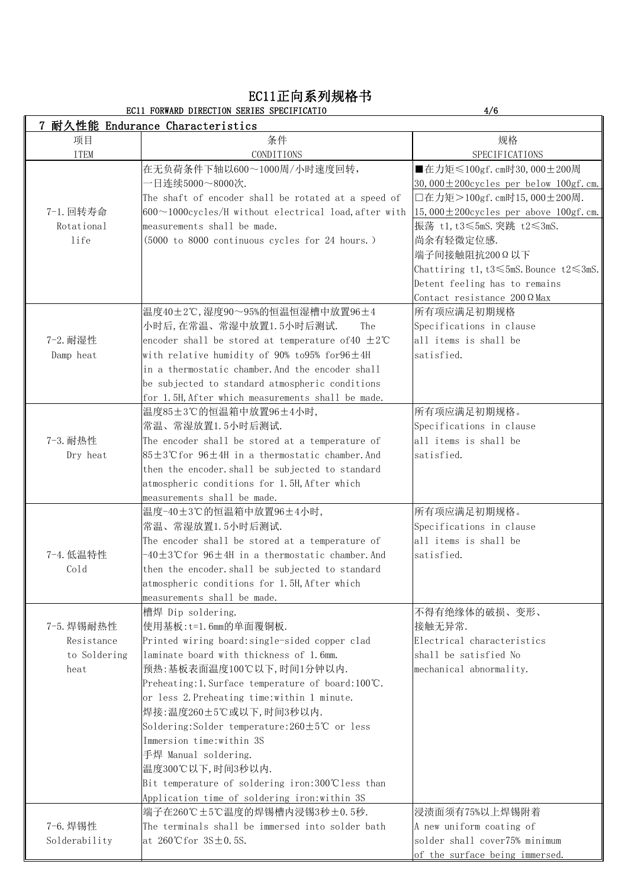#### EC11正向系列规格书

#### EC11 FORWARD DIRECTION SERIES SPECIFICATIO 4/6

|               | 耐久性能 Endurance Characteristics                                 |                                              |
|---------------|----------------------------------------------------------------|----------------------------------------------|
| 项目            | 条件                                                             | 规格                                           |
| <b>ITEM</b>   | CONDITIONS                                                     | SPECIFICATIONS                               |
|               | 在无负荷条件下轴以600~1000周/小时速度回转,                                     | ■在力矩≤100gf.cm时30,000±200周                    |
|               | 一日连续5000~8000次.                                                | 30,000 $\pm$ 200cycles per below 100gf.cm.   |
|               | The shaft of encoder shall be rotated at a speed of            | □在力矩>100gf.cm时15,000±200周.                   |
| 7-1. 回转寿命     | $600 \sim 1000$ cycles/H without electrical load, after with   | $ 15,000 \pm 200$ cycles per above 100gf.cm. |
| Rotational    | measurements shall be made.                                    | 振荡 t1,t3≤5mS.突跳 t2≤3mS.                      |
| life          | (5000 to 8000 continuous cycles for 24 hours.)                 | 尚余有轻微定位感.                                    |
|               |                                                                | 端子间接触阻抗200Ω以下                                |
|               |                                                                | Chattiring t1,t3≤5mS.Bounce t2≤3mS.          |
|               |                                                                | Detent feeling has to remains                |
|               |                                                                | Contact resistance 200 Ω Max                 |
|               | 温度40±2℃,湿度90~95%的恒温恒湿槽中放置96±4                                  | 所有项应满足初期规格                                   |
|               | 小时后, 在常温、常湿中放置1.5小时后测试.<br>The                                 | Specifications in clause                     |
| 7-2. 耐湿性      | encoder shall be stored at temperature of 40 $\pm 2^{\circ}$ C | all items is shall be                        |
| Damp heat     | with relative humidity of 90% to 95% for $96 \pm 4H$           | satisfied.                                   |
|               | in a thermostatic chamber. And the encoder shall               |                                              |
|               | be subjected to standard atmospheric conditions                |                                              |
|               | for 1.5H, After which measurements shall be made.              |                                              |
|               | 温度85±3℃的恒温箱中放置96±4小时,                                          | 所有项应满足初期规格。                                  |
|               | 常温、常湿放置1.5小时后测试.                                               | Specifications in clause                     |
| 7-3. 耐热性      | The encoder shall be stored at a temperature of                | all items is shall be                        |
| Dry heat      | $85±3°C$ for 96±4H in a thermostatic chamber. And              | satisfied.                                   |
|               | then the encoder. shall be subjected to standard               |                                              |
|               | atmospheric conditions for 1.5H, After which                   |                                              |
|               | measurements shall be made.                                    |                                              |
|               | 温度-40±3℃的恒温箱中放置96±4小时,                                         | 所有项应满足初期规格。                                  |
|               | 常温、常湿放置1.5小时后测试.                                               | Specifications in clause                     |
|               | The encoder shall be stored at a temperature of                | all items is shall be                        |
| 7-4. 低温特性     | $-40\pm3$ °Cfor 96 $\pm4$ H in a thermostatic chamber.And      | satisfied.                                   |
| Cold          | then the encoder. shall be subjected to standard               |                                              |
|               | atmospheric conditions for 1.5H, After which                   |                                              |
|               | measurements shall be made.                                    |                                              |
|               | 槽焊 Dip soldering.                                              | 不得有绝缘体的破损、变形、                                |
| 7-5. 焊锡耐热性    | 使用基板: t=1.6mm的单面覆铜板.                                           | 接触无异常.                                       |
| Resistance    | Printed wiring board:single-sided copper clad                  | Electrical characteristics                   |
| to Soldering  | laminate board with thickness of 1.6mm.                        | shall be satisfied No                        |
| heat          | 预热:基板表面温度100℃以下,时间1分钟以内.                                       | mechanical abnormality.                      |
|               | Preheating:1. Surface temperature of board:100℃.               |                                              |
|               | or less 2. Preheating time: within 1 minute.                   |                                              |
|               | 焊接:温度260±5℃或以下,时间3秒以内.                                         |                                              |
|               | Soldering:Solder temperature:260±5℃ or less                    |                                              |
|               | Immersion time: within 3S                                      |                                              |
|               | 手焊 Manual soldering.                                           |                                              |
|               | 温度300℃以下,时间3秒以内.                                               |                                              |
|               | Bit temperature of soldering iron:300°Cless than               |                                              |
|               | Application time of soldering iron: within 3S                  |                                              |
|               | 端子在260℃±5℃温度的焊锡槽内浸锡3秒±0.5秒.                                    | 浸渍面须有75%以上焊锡附着                               |
| 7-6. 焊锡性      | The terminals shall be immersed into solder bath               | A new uniform coating of                     |
| Solderability | at 260°C for $3S \pm 0.5S$ .                                   | solder shall cover75% minimum                |
|               |                                                                | of the surface being immersed.               |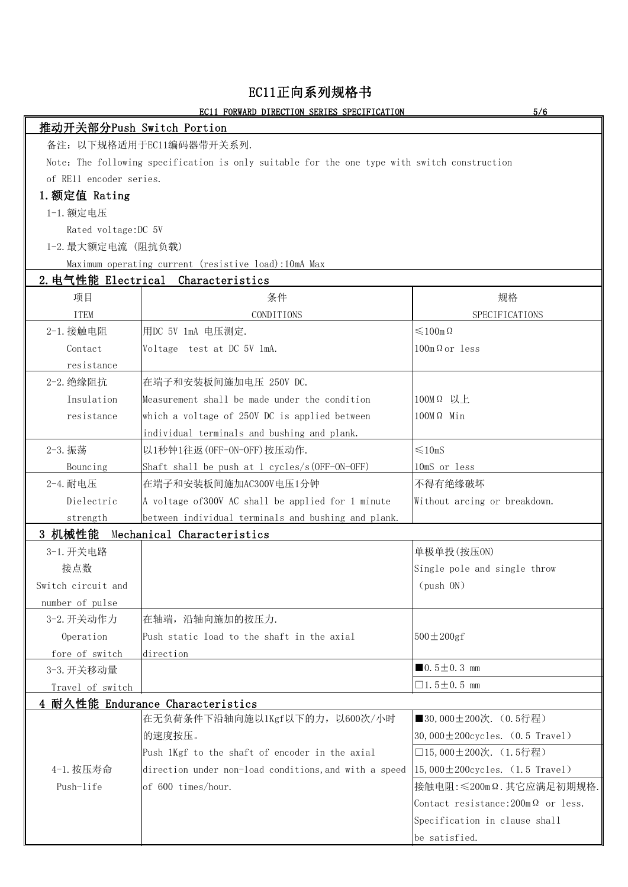## EC11正向系列规格书

#### EC11 FORWARD DIRECTION SERIES SPECIFICATION 5/6

|                           | <u>ECII FORWARD DIRECTION SERIES SPECIFICATION</u>                                           | <u> 57 Q</u>                                      |
|---------------------------|----------------------------------------------------------------------------------------------|---------------------------------------------------|
| 推动开关部分Push Switch Portion |                                                                                              |                                                   |
|                           | 备注: 以下规格适用于EC11编码器带开关系列.                                                                     |                                                   |
|                           | Note: The following specification is only suitable for the one type with switch construction |                                                   |
| of RE11 encoder series.   |                                                                                              |                                                   |
| 1. 额定值 Rating             |                                                                                              |                                                   |
| 1-1. 额定电压                 |                                                                                              |                                                   |
| Rated voltage: DC 5V      |                                                                                              |                                                   |
| 1-2. 最大额定电流 (阻抗负载)        |                                                                                              |                                                   |
|                           | Maximum operating current (resistive load):10mA Max                                          |                                                   |
|                           | 2. 电气性能 Electrical Characteristics                                                           |                                                   |
| 项目                        | 条件                                                                                           | 规格                                                |
| <b>ITEM</b>               | CONDITIONS                                                                                   | SPECIFICATIONS                                    |
| 2-1. 接触电阻                 | 用DC 5V 1mA 电压测定.                                                                             | $\leq 100$ m $\Omega$                             |
| Contact                   | Voltage test at DC 5V 1mA.                                                                   | $100 \text{m} \Omega \text{ or } \text{less}$     |
| resistance                |                                                                                              |                                                   |
| 2-2. 绝缘阻抗                 | 在端子和安装板间施加电压 250V DC.                                                                        |                                                   |
| Insulation                | Measurement shall be made under the condition                                                | 100MΩ 以上                                          |
| resistance                | which a voltage of 250V DC is applied between                                                | $100M\Omega$ Min                                  |
|                           | individual terminals and bushing and plank.                                                  |                                                   |
| 2-3. 振荡                   | 以1秒钟1往返(OFF-ON-OFF)按压动作.                                                                     | $\leq 10$ mS                                      |
| Bouncing                  | Shaft shall be push at 1 cycles/s (OFF-ON-OFF)                                               | 10mS or less                                      |
| 2-4. 耐电压                  | 在端子和安装板间施加AC300V电压1分钟                                                                        | 不得有绝缘破坏                                           |
| Dielectric                | A voltage of 300V AC shall be applied for 1 minute                                           | Without arcing or breakdown.                      |
| strength                  | between individual terminals and bushing and plank.                                          |                                                   |
| 3 机械性能                    | Mechanical Characteristics                                                                   |                                                   |
| 3-1. 开关电路                 |                                                                                              | 单极单投(按压ON)                                        |
| 接点数                       |                                                                                              | Single pole and single throw                      |
| Switch circuit and        |                                                                                              | (push ON)                                         |
| number of pulse           |                                                                                              |                                                   |
| 3-2. 开关动作力                | 在轴端, 沿轴向施加的按压力.                                                                              |                                                   |
| Operation                 | Push static load to the shaft in the axial                                                   | $500 \pm 200$ gf                                  |
| fore of switch            | direction                                                                                    |                                                   |
| 3-3. 开关移动量                |                                                                                              | $\blacksquare$ 0.5 $\pm$ 0.3 mm                   |
| Travel of switch          |                                                                                              | $\Box$ 1.5 $\pm$ 0.5 mm                           |
|                           | 4 耐久性能 Endurance Characteristics                                                             |                                                   |
|                           | 在无负荷条件下沿轴向施以1Kgf以下的力, 以600次/小时                                                               | ■30,000±200次. (0.5行程)                             |
|                           | 的速度按压。                                                                                       | $ 30,000 \pm 200$ cycles. $(0.5$ Travel)          |
|                           | Push 1Kgf to the shaft of encoder in the axial                                               | □15,000±200次. (1.5行程)                             |
| 4-1. 按压寿命                 | direction under non-load conditions, and with a speed                                        | $ 15,000 \pm 200$ cycles. (1.5 Travel)            |
| Push-life                 | $ $ of 600 times/hour.                                                                       | 接触电阻: ≤200mΩ. 其它应满足初期规格.                          |
|                           |                                                                                              | Contact resistance: $200 \text{m}\Omega$ or less. |
|                           |                                                                                              | Specification in clause shall                     |
|                           |                                                                                              | be satisfied.                                     |